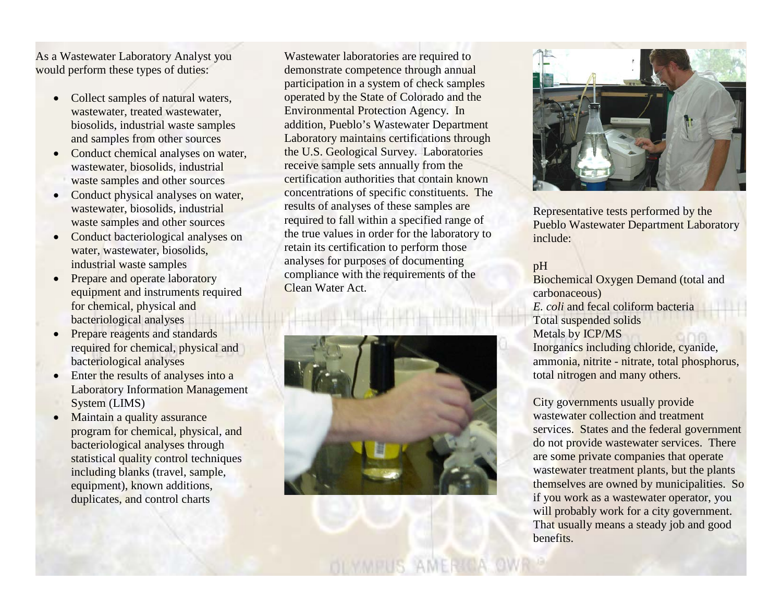As a Wastewater Laboratory Analyst you would perform these types of duties:

- Collect samples of natural waters, wastewater, treated wastewater, biosolids, industrial waste samples and samples from other sources
- Conduct chemical analyses on water, wastewater, biosolids, industrial waste samples and other sources
- Conduct physical analyses on water, wastewater, biosolids, industrial waste samples and other sources
- Conduct bacteriological analyses on water, wastewater, biosolids, industrial waste samples
- Prepare and operate laboratory equipment and instruments required for chemical, physical and bacteriological analyses
- Prepare reagents and standards required for chemical, physical and bacteriological analyses
- Enter the results of analyses into a Laboratory Information Management System (LIMS)
- Maintain a quality assurance program for chemical, physical, and bacteriological analyses through statistical quality control techniques including blanks (travel, sample, equipment), known additions, duplicates, and control charts

Wastewater laboratories are required to demonstrate competence through annual participation in a system of check samples operated by the State of Colorado and the Environmental Protection Agency. In addition, Pueblo's Wastewater Department Laboratory maintains certifications through the U.S. Geological Survey. Laboratories receive sample sets annually from the certification authorities that contain known concentrations of specific constituents. The results of analyses of these samples are required to fall within a specified range of the true values in order for the laboratory to retain its certification to perform those analyses for purposes of documenting compliance with the requirements of the Clean Water Act.





Representative tests performed by the Pueblo Wastewater Department Laboratory include:

#### pH

Biochemical Oxygen Demand (total and carbonaceous) *E. coli* and fecal coliform bacteria Total suspended solids Metals by ICP/MS Inorganics including chloride, cyanide, ammonia, nitrite - nitrate, total phosphorus, total nitrogen and many others.

City governments usually provide wastewater collection and treatment services. States and the federal government do not provide wastewater services. There are some private companies that operate wastewater treatment plants, but the plants themselves are owned by municipalities. So if you work as a wastewater operator, you will probably work for a city government. That usually means a steady job and good benefits.